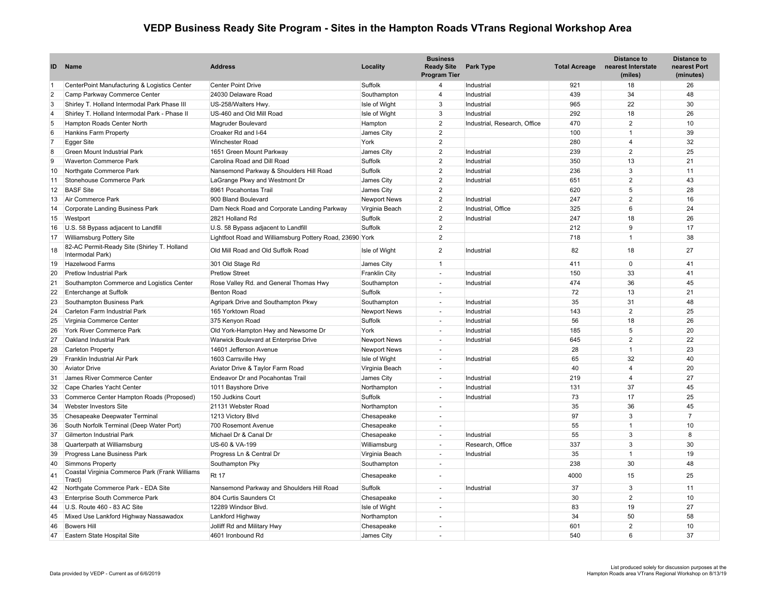## **VEDP Business Ready Site Program - Sites in the Hampton Roads VTrans Regional Workshop Area**

| ID             | Name                                                               | <b>Address</b>                                           | Locality             | <b>Business</b><br><b>Ready Site</b><br><b>Program Tier</b> | Park Type                    | <b>Total Acreage</b> | Distance to<br>nearest Interstate<br>(miles) | <b>Distance to</b><br>nearest Port<br>(minutes) |
|----------------|--------------------------------------------------------------------|----------------------------------------------------------|----------------------|-------------------------------------------------------------|------------------------------|----------------------|----------------------------------------------|-------------------------------------------------|
| $\overline{1}$ | CenterPoint Manufacturing & Logistics Center                       | <b>Center Point Drive</b>                                | Suffolk              | $\overline{4}$                                              | Industrial                   | 921                  | 18                                           | 26                                              |
| $\overline{2}$ | Camp Parkway Commerce Center                                       | 24030 Delaware Road                                      | Southampton          | $\overline{4}$                                              | Industrial                   | 439                  | 34                                           | 48                                              |
| 3              | Shirley T. Holland Intermodal Park Phase III                       | US-258/Walters Hwy.                                      | Isle of Wight        | 3                                                           | Industrial                   | 965                  | 22                                           | 30                                              |
| $\overline{4}$ | Shirley T. Holland Intermodal Park - Phase II                      | US-460 and Old Mill Road                                 | Isle of Wight        | 3                                                           | Industrial                   | 292                  | 18                                           | 26                                              |
| 5              | Hampton Roads Center North                                         | Magruder Boulevard                                       | Hampton              | $\overline{2}$                                              | Industrial, Research, Office | 470                  | $\overline{2}$                               | 10                                              |
| 6              | Hankins Farm Property                                              | Croaker Rd and I-64                                      | James City           | $\overline{2}$                                              |                              | 100                  | $\mathbf{1}$                                 | 39                                              |
| 7              | Egger Site                                                         | <b>Winchester Road</b>                                   | York                 | $\overline{2}$                                              |                              | 280                  | $\overline{4}$                               | 32                                              |
| 8              | Green Mount Industrial Park                                        | 1651 Green Mount Parkway                                 | James City           | 2                                                           | Industrial                   | 239                  | $\overline{2}$                               | 25                                              |
| 9              | <b>Waverton Commerce Park</b>                                      | Carolina Road and Dill Road                              | Suffolk              | $\overline{2}$                                              | Industrial                   | 350                  | 13                                           | 21                                              |
| 10             | Northgate Commerce Park                                            | Nansemond Parkway & Shoulders Hill Road                  | Suffolk              | $\overline{2}$                                              | Industrial                   | 236                  | 3                                            | 11                                              |
| 11             | Stonehouse Commerce Park                                           | LaGrange Pkwy and Westmont Dr                            | James City           | 2                                                           | Industrial                   | 651                  | $\overline{2}$                               | 43                                              |
| 12             | <b>BASF Site</b>                                                   | 8961 Pocahontas Trail                                    | James City           | $\overline{2}$                                              |                              | 620                  | 5                                            | 28                                              |
| 13             | Air Commerce Park                                                  | 900 Bland Boulevard                                      | <b>Newport News</b>  | $\overline{2}$                                              | Industrial                   | 247                  | $\overline{2}$                               | 16                                              |
| 14             | Corporate Landing Business Park                                    | Dam Neck Road and Corporate Landing Parkway              | Virginia Beach       | $\overline{2}$                                              | Industrial, Office           | 325                  | 6                                            | 24                                              |
| 15             | Westport                                                           | 2821 Holland Rd                                          | Suffolk              | 2                                                           | Industrial                   | 247                  | 18                                           | 26                                              |
| 16             | U.S. 58 Bypass adjacent to Landfill                                | U.S. 58 Bypass adjacent to Landfill                      | Suffolk              | $\overline{2}$                                              |                              | 212                  | 9                                            | 17                                              |
| 17             | Williamsburg Pottery Site                                          | Lightfoot Road and Williamsburg Pottery Road, 23690 York |                      | $\overline{2}$                                              |                              | 718                  | $\overline{1}$                               | 38                                              |
| 18             | 82-AC Permit-Ready Site (Shirley T. Holland<br>Intermodal Park)    | Old Mill Road and Old Suffolk Road                       | Isle of Wight        | $\overline{2}$                                              | Industrial                   | 82                   | 18                                           | 27                                              |
| 19             | Hazelwood Farms                                                    | 301 Old Stage Rd                                         | James City           | $\mathbf{1}$                                                |                              | 411                  | $\mathbf 0$                                  | 41                                              |
| 20             | <b>Pretlow Industrial Park</b>                                     | <b>Pretlow Street</b>                                    | <b>Franklin City</b> | $\sim$                                                      | Industrial                   | 150                  | 33                                           | 41                                              |
| 21             | Southampton Commerce and Logistics Center                          | Rose Valley Rd. and General Thomas Hwy                   | Southampton          | $\sim$                                                      | Industrial                   | 474                  | 36                                           | 45                                              |
| 22             | Enterchange at Suffolk                                             | <b>Benton Road</b>                                       | Suffolk              | $\sim$                                                      |                              | 72                   | 13                                           | 21                                              |
| 23             | Southampton Business Park                                          | Agripark Drive and Southampton Pkwy                      | Southampton          | $\sim$                                                      | Industrial                   | 35                   | 31                                           | 48                                              |
| 24             | Carleton Farm Industrial Park                                      | 165 Yorktown Road                                        | <b>Newport News</b>  | $\sim$                                                      | Industrial                   | 143                  | 2                                            | 25                                              |
| 25             | Virginia Commerce Center                                           | 375 Kenyon Road                                          | Suffolk              | $\sim$                                                      | Industrial                   | 56                   | 18                                           | 26                                              |
| 26             | York River Commerce Park                                           | Old York-Hampton Hwy and Newsome Dr                      | York                 | $\sim$                                                      | Industrial                   | 185                  | 5                                            | 20                                              |
| 27             | Oakland Industrial Park                                            | Warwick Boulevard at Enterprise Drive                    | <b>Newport News</b>  | $\sim$                                                      | Industrial                   | 645                  | 2                                            | 22                                              |
| 28             | Carleton Property                                                  | 14601 Jefferson Avenue                                   | <b>Newport News</b>  | $\sim$                                                      |                              | 28                   | $\overline{1}$                               | 23                                              |
| 29             | Franklin Industrial Air Park                                       | 1603 Carrsville Hwy                                      | Isle of Wight        | $\sim$                                                      | Industrial                   | 65                   | 32                                           | 40                                              |
| 30             | <b>Aviator Drive</b>                                               | Aviator Drive & Taylor Farm Road                         | Virginia Beach       | $\sim$                                                      |                              | 40                   | $\overline{4}$                               | 20                                              |
| 31             | James River Commerce Center                                        | <b>Endeavor Dr and Pocahontas Trail</b>                  | James City           | $\sim$                                                      | Industrial                   | 219                  | $\overline{4}$                               | 27                                              |
|                | Cape Charles Yacht Center                                          |                                                          |                      | $\sim$                                                      | Industrial                   | 131                  | 37                                           | 45                                              |
| 32             | Commerce Center Hampton Roads (Proposed)                           | 1011 Bayshore Drive                                      | Northampton          | $\sim$                                                      | Industrial                   | 73                   | 17                                           | 25                                              |
| 33<br>34       |                                                                    | 150 Judkins Court                                        | Suffolk              |                                                             |                              | 35                   | 36                                           | 45                                              |
|                | <b>Webster Investors Site</b>                                      | 21131 Webster Road                                       | Northampton          | $\sim$                                                      |                              | 97                   | 3                                            | $\overline{7}$                                  |
| 35             | Chesapeake Deepwater Terminal                                      | 1213 Victory Blvd                                        | Chesapeake           |                                                             |                              |                      | $\overline{1}$                               | 10                                              |
| 36             | South Norfolk Terminal (Deep Water Port)                           | 700 Rosemont Avenue                                      | Chesapeake           | $\sim$<br>$\sim$                                            |                              | 55<br>55             | 3                                            | 8                                               |
| 37             | Gilmerton Industrial Park                                          | Michael Dr & Canal Dr                                    | Chesapeake           |                                                             | Industrial                   |                      |                                              |                                                 |
| 38             | Quarterpath at Williamsburg                                        | US-60 & VA-199                                           | Williamsburg         | $\sim$                                                      | Research, Office             | 337                  | 3                                            | 30                                              |
| 39             | Progress Lane Business Park                                        | Progress Ln & Central Dr                                 | Virginia Beach       | $\sim$                                                      | Industrial                   | 35                   | $\overline{1}$                               | 19                                              |
| 40             | Simmons Property<br>Coastal Virginia Commerce Park (Frank Williams | Southampton Pky                                          | Southampton          | $\sim$                                                      |                              | 238                  | 30                                           | 48                                              |
| 41             | Tract)                                                             | <b>Rt 17</b>                                             | Chesapeake           |                                                             |                              | 4000                 | 15                                           | 25                                              |
| 42             | Northgate Commerce Park - EDA Site                                 | Nansemond Parkway and Shoulders Hill Road                | Suffolk              | ÷.                                                          | Industrial                   | 37                   | 3                                            | 11                                              |
| 43             | Enterprise South Commerce Park                                     | 804 Curtis Saunders Ct                                   | Chesapeake           | ÷.                                                          |                              | 30                   | 2                                            | 10                                              |
| 44             | U.S. Route 460 - 83 AC Site                                        | 12289 Windsor Blvd.                                      | Isle of Wight        | $\sim$                                                      |                              | 83                   | 19                                           | 27                                              |
| 45             | Mixed Use Lankford Highway Nassawadox                              | Lankford Highway                                         | Northampton          | ÷.                                                          |                              | 34                   | 50                                           | 58                                              |
| 46             | <b>Bowers Hill</b>                                                 | Jolliff Rd and Military Hwy                              | Chesapeake           | $\sim$                                                      |                              | 601                  | $\overline{2}$                               | 10                                              |
| 47             | Eastern State Hospital Site                                        | 4601 Ironbound Rd                                        | James City           |                                                             |                              | 540                  | 6                                            | 37                                              |